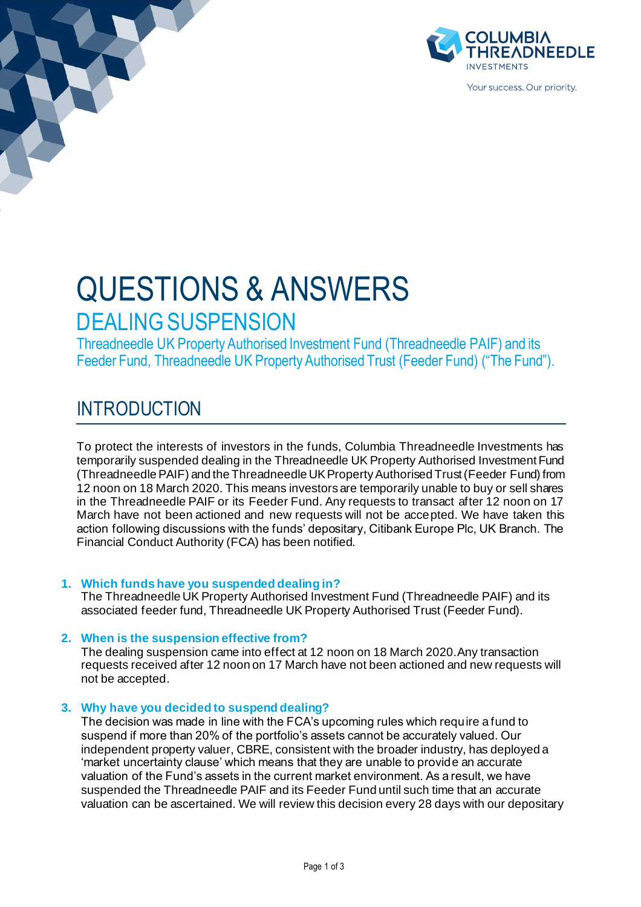

Your success. Our priority.

# QUESTIONS & ANSWERS DEALING SUSPENSION

Threadneedle UK Property Authorised Investment Fund (Threadneedle PAIF) and its Feeder Fund, Threadneedle UK Property Authorised Trust (Feeder Fund) ("The Fund").

# INTRODUCTION

To protect the interests of investors in the funds, Columbia Threadneedle Investments has temporarily suspended dealing in the Threadneedle UK Property Authorised Investment Fund (Threadneedle PAIF) and the Threadneedle UK Property Authorised Trust (Feeder Fund) from 12 noon on 18 March 2020. This means investors are temporarily unable to buy or sell shares in the Threadneedle PAIF or its Feeder Fund. Any requests to transact after 12 noon on 17 March have not been actioned and new requests will not be accepted. We have taken this action following discussions with the funds' depositary, Citibank Europe Plc, UK Branch. The Financial Conduct Authority (FCA) has been notified.

# **1. Which funds have you suspended dealing in?**

The Threadneedle UK Property Authorised Investment Fund (Threadneedle PAIF) and its associated feeder fund, Threadneedle UK Property Authorised Trust (Feeder Fund).

# **2. When is the suspension effective from?**

The dealing suspension came into effect at 12 noon on 18 March 2020.Any transaction requests received after 12 noon on 17 March have not been actioned and new requests will not be accepted.

# **3. Why have you decided to suspend dealing?**

The decision was made in line with the FCA's upcoming rules which require a fund to suspend if more than 20% of the portfolio's assets cannot be accurately valued. Our independent property valuer, CBRE, consistent with the broader industry, has deployed a 'market uncertainty clause' which means that they are unable to provide an accurate valuation of the Fund's assets in the current market environment. As a result, we have suspended the Threadneedle PAIF and its Feeder Fund until such time that an accurate valuation can be ascertained. We will review this decision every 28 days with our depositary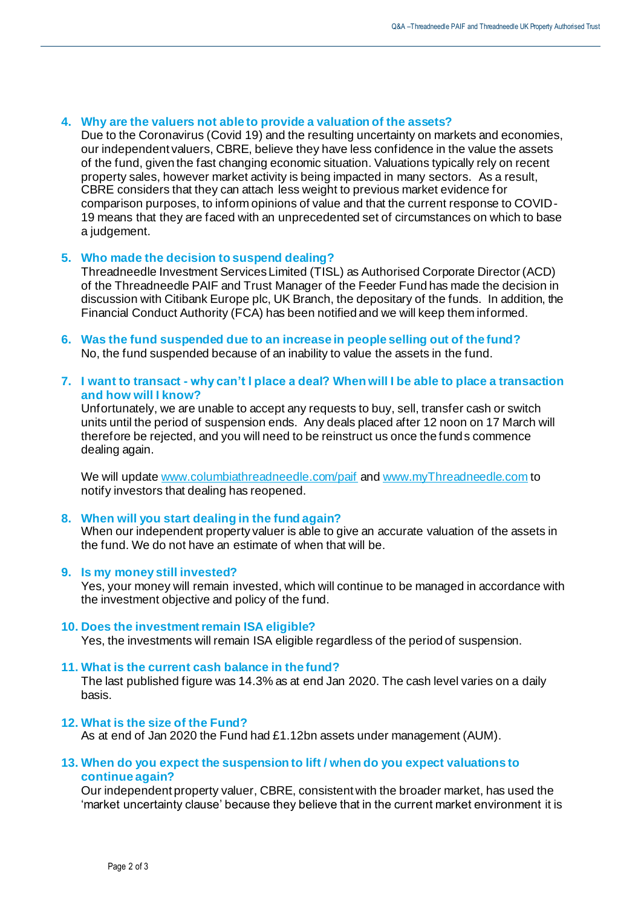# **4. Why are the valuers not able to provide a valuation of the assets?**

Due to the Coronavirus (Covid 19) and the resulting uncertainty on markets and economies, our independent valuers, CBRE, believe they have less confidence in the value the assets of the fund, given the fast changing economic situation. Valuations typically rely on recent property sales, however market activity is being impacted in many sectors. As a result, CBRE considers that they can attach less weight to previous market evidence for comparison purposes, to inform opinions of value and that the current response to COVID-19 means that they are faced with an unprecedented set of circumstances on which to base a judgement.

# **5. Who made the decision to suspend dealing?**

Threadneedle Investment Services Limited (TISL) as Authorised Corporate Director (ACD) of the Threadneedle PAIF and Trust Manager of the Feeder Fund has made the decision in discussion with Citibank Europe plc, UK Branch, the depositary of the funds. In addition, the Financial Conduct Authority (FCA) has been notified and we will keep them informed.

**6. Was the fund suspended due to an increase in people selling out of the fund?** No, the fund suspended because of an inability to value the assets in the fund.

### **7. I want to transact - why can't I place a deal? When will I be able to place a transaction and how will I know?**

Unfortunately, we are unable to accept any requests to buy, sell, transfer cash or switch units until the period of suspension ends. Any deals placed after 12 noon on 17 March will therefore be rejected, and you will need to be reinstruct us once the funds commence dealing again.

We will updat[e www.columbiathreadneedle.com/paif](http://www.columbiathreadneedle.com/paif) an[d www.myThreadneedle.com](http://www.mythreadneedle.com/) to notify investors that dealing has reopened.

#### **8. When will you start dealing in the fund again?**

When our independent property valuer is able to give an accurate valuation of the assets in the fund. We do not have an estimate of when that will be.

#### **9. Is my money still invested?**

Yes, your money will remain invested, which will continue to be managed in accordance with the investment objective and policy of the fund.

#### **10. Does the investment remain ISA eligible?**

Yes, the investments will remain ISA eligible regardless of the period of suspension.

#### **11. What is the current cash balance in the fund?**

The last published figure was 14.3% as at end Jan 2020. The cash level varies on a daily basis.

#### **12. What is the size of the Fund?**

As at end of Jan 2020 the Fund had £1.12bn assets under management (AUM).

#### **13. When do you expect the suspension to lift / when do you expect valuations to continue again?**

Our independent property valuer, CBRE, consistent with the broader market, has used the 'market uncertainty clause' because they believe that in the current market environment it is